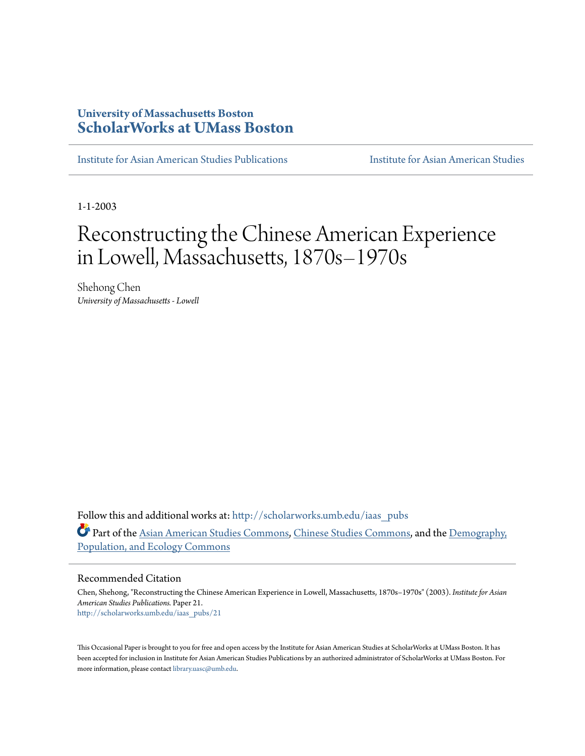## **University of Massachusetts Boston [ScholarWorks at UMass Boston](http://scholarworks.umb.edu?utm_source=scholarworks.umb.edu%2Fiaas_pubs%2F21&utm_medium=PDF&utm_campaign=PDFCoverPages)**

[Institute for Asian American Studies Publications](http://scholarworks.umb.edu/iaas_pubs?utm_source=scholarworks.umb.edu%2Fiaas_pubs%2F21&utm_medium=PDF&utm_campaign=PDFCoverPages) [Institute for Asian American Studies](http://scholarworks.umb.edu/iaas?utm_source=scholarworks.umb.edu%2Fiaas_pubs%2F21&utm_medium=PDF&utm_campaign=PDFCoverPages)

1-1-2003

# Reconstructing the Chinese American Experience in Lowell, Massachusetts, 1870s–1970s

Shehong Chen *University of Massachusetts - Lowell*

Follow this and additional works at: [http://scholarworks.umb.edu/iaas\\_pubs](http://scholarworks.umb.edu/iaas_pubs?utm_source=scholarworks.umb.edu%2Fiaas_pubs%2F21&utm_medium=PDF&utm_campaign=PDFCoverPages) Part of the [Asian American Studies Commons](http://network.bepress.com/hgg/discipline/568?utm_source=scholarworks.umb.edu%2Fiaas_pubs%2F21&utm_medium=PDF&utm_campaign=PDFCoverPages), [Chinese Studies Commons,](http://network.bepress.com/hgg/discipline/1081?utm_source=scholarworks.umb.edu%2Fiaas_pubs%2F21&utm_medium=PDF&utm_campaign=PDFCoverPages) and the [Demography,](http://network.bepress.com/hgg/discipline/418?utm_source=scholarworks.umb.edu%2Fiaas_pubs%2F21&utm_medium=PDF&utm_campaign=PDFCoverPages) [Population, and Ecology Commons](http://network.bepress.com/hgg/discipline/418?utm_source=scholarworks.umb.edu%2Fiaas_pubs%2F21&utm_medium=PDF&utm_campaign=PDFCoverPages)

### Recommended Citation

Chen, Shehong, "Reconstructing the Chinese American Experience in Lowell, Massachusetts, 1870s–1970s" (2003). *Institute for Asian American Studies Publications.* Paper 21. [http://scholarworks.umb.edu/iaas\\_pubs/21](http://scholarworks.umb.edu/iaas_pubs/21?utm_source=scholarworks.umb.edu%2Fiaas_pubs%2F21&utm_medium=PDF&utm_campaign=PDFCoverPages)

This Occasional Paper is brought to you for free and open access by the Institute for Asian American Studies at ScholarWorks at UMass Boston. It has been accepted for inclusion in Institute for Asian American Studies Publications by an authorized administrator of ScholarWorks at UMass Boston. For more information, please contact [library.uasc@umb.edu.](mailto:library.uasc@umb.edu)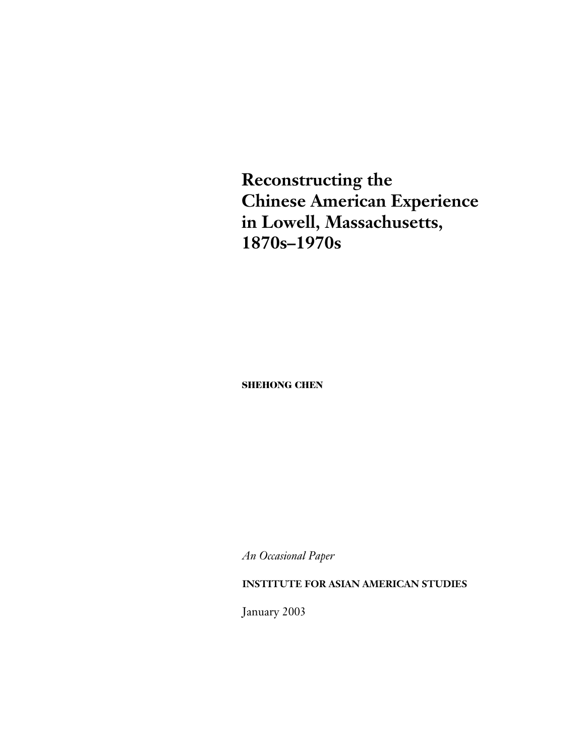**Reconstructing the Chinese American Experience in Lowell, Massachusetts, 1870s–1970s**

**SHEHONG CHEN**

*An Occasional Paper*

### **INSTITUTE FOR ASIAN AMERICAN STUDIES**

January 2003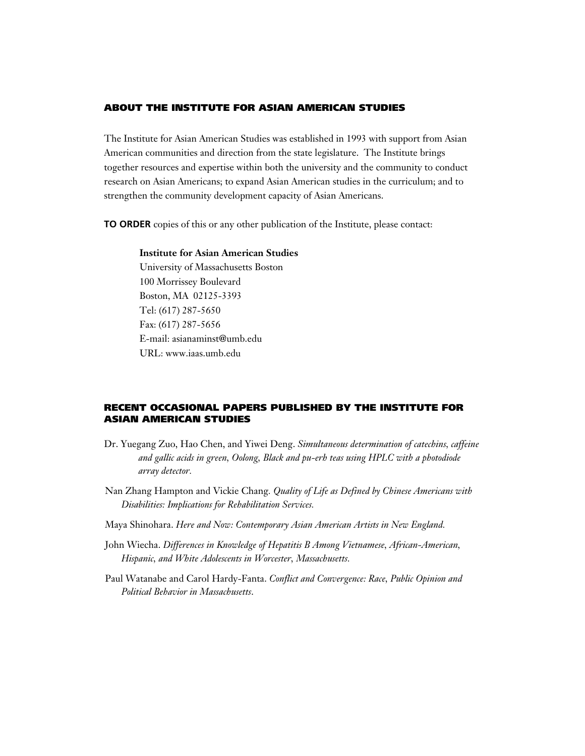### **ABOUT THE INSTITUTE FOR ASIAN AMERICAN STUDIES**

The Institute for Asian American Studies was established in 1993 with support from Asian American communities and direction from the state legislature. The Institute brings together resources and expertise within both the university and the community to conduct research on Asian Americans; to expand Asian American studies in the curriculum; and to strengthen the community development capacity of Asian Americans.

**TO ORDER** copies of this or any other publication of the Institute, please contact:

### **Institute for Asian American Studies**

University of Massachusetts Boston 100 Morrissey Boulevard Boston, MA 02125-3393 Tel: (617) 287-5650 Fax: (617) 287-5656 E-mail: asianaminst@umb.edu URL: www.iaas.umb.edu

### **RECENT OCCASIONAL PAPERS PUBLISHED BY THE INSTITUTE FOR ASIAN AMERICAN STUDIES**

- Dr. Yuegang Zuo, Hao Chen, and Yiwei Deng. *Simultaneous determination of catechins, caffeine and gallic acids in green, Oolong, Black and pu-erh teas using HPLC with a photodiode array detector.*
- Nan Zhang Hampton and Vickie Chang*. Quality of Life as Defined by Chinese Americans with Disabilities: Implications for Rehabilitation Services.*
- Maya Shinohara. *Here and Now: Contemporary Asian American Artists in New England.*
- John Wiecha. *Differences in Knowledge of Hepatitis B Among Vietnamese, African-American, Hispanic, and White Adolescents in Worcester, Massachusetts.*
- Paul Watanabe and Carol Hardy-Fanta. *Conflict and Convergence: Race, Public Opinion and Political Behavior in Massachusetts*.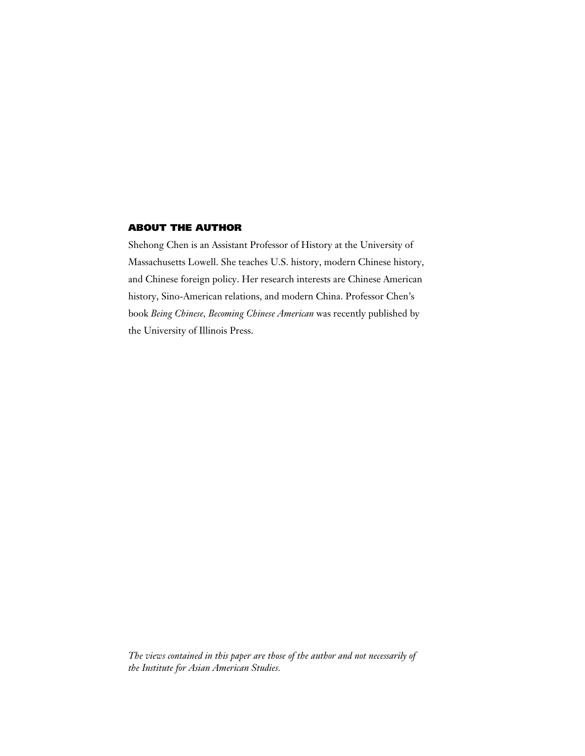### **ABOUT THE AUTHOR**

Shehong Chen is an Assistant Professor of History at the University of Massachusetts Lowell. She teaches U.S. history, modern Chinese history, and Chinese foreign policy. Her research interests are Chinese American history, Sino-American relations, and modern China. Professor Chen's book *Being Chinese, Becoming Chinese American* was recently published by the University of Illinois Press.

*The views contained in this paper are those of the author and not necessarily of the Institute for Asian American Studies.*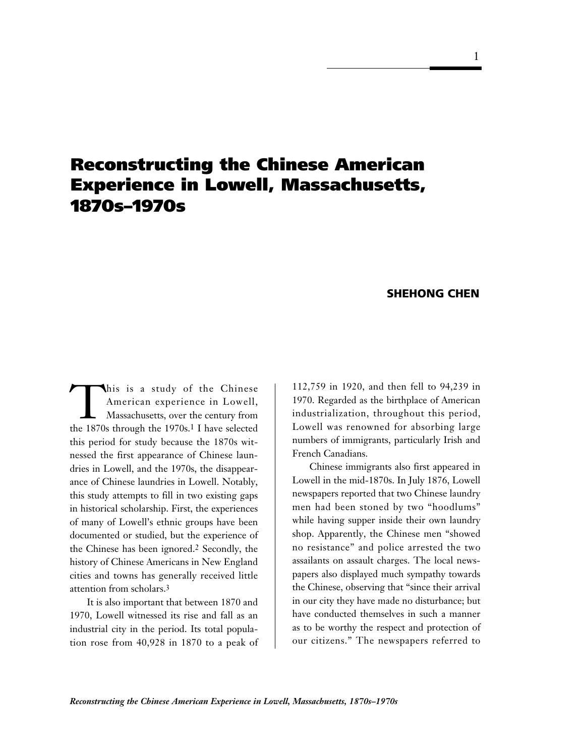## **Reconstructing the Chinese American Experience in Lowell, Massachusetts, 1870s–1970s**

### **SHEHONG CHEN**

This is a study of the Chinese<br>American experience in Lowell,<br>Massachusetts, over the century from<br>the 1870s through the 1970s 1 I have selected American experience in Lowell, Massachusetts, over the century from the 1870s through the 1970s.1 I have selected this period for study because the 1870s witnessed the first appearance of Chinese laundries in Lowell, and the 1970s, the disappearance of Chinese laundries in Lowell. Notably, this study attempts to fill in two existing gaps in historical scholarship. First, the experiences of many of Lowell's ethnic groups have been documented or studied, but the experience of the Chinese has been ignored.2 Secondly, the history of Chinese Americans in New England cities and towns has generally received little attention from scholars.3

It is also important that between 1870 and 1970, Lowell witnessed its rise and fall as an industrial city in the period. Its total population rose from 40,928 in 1870 to a peak of 112,759 in 1920, and then fell to 94,239 in 1970. Regarded as the birthplace of American industrialization, throughout this period, Lowell was renowned for absorbing large numbers of immigrants, particularly Irish and French Canadians.

Chinese immigrants also first appeared in Lowell in the mid-1870s. In July 1876, Lowell newspapers reported that two Chinese laundry men had been stoned by two "hoodlums" while having supper inside their own laundry shop. Apparently, the Chinese men "showed no resistance" and police arrested the two assailants on assault charges. The local newspapers also displayed much sympathy towards the Chinese, observing that "since their arrival in our city they have made no disturbance; but have conducted themselves in such a manner as to be worthy the respect and protection of our citizens." The newspapers referred to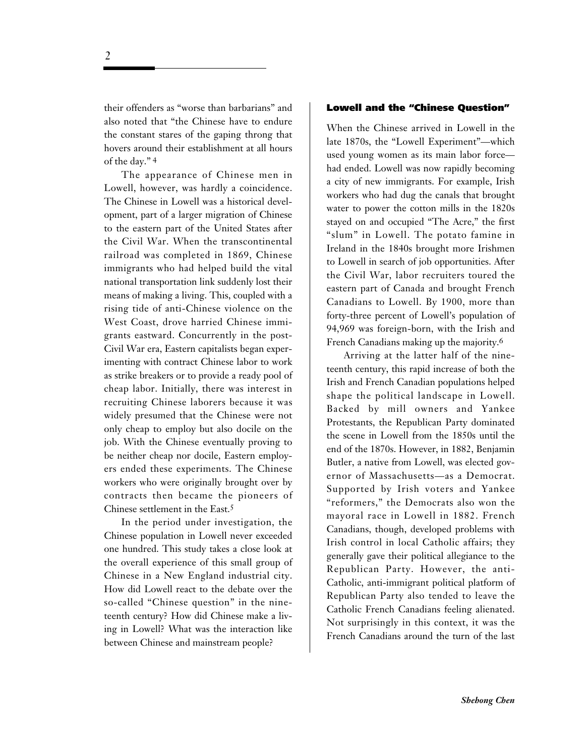their offenders as "worse than barbarians" and also noted that "the Chinese have to endure the constant stares of the gaping throng that hovers around their establishment at all hours of the day." 4

The appearance of Chinese men in Lowell, however, was hardly a coincidence. The Chinese in Lowell was a historical development, part of a larger migration of Chinese to the eastern part of the United States after the Civil War. When the transcontinental railroad was completed in 1869, Chinese immigrants who had helped build the vital national transportation link suddenly lost their means of making a living. This, coupled with a rising tide of anti-Chinese violence on the West Coast, drove harried Chinese immigrants eastward. Concurrently in the post-Civil War era, Eastern capitalists began experimenting with contract Chinese labor to work as strike breakers or to provide a ready pool of cheap labor. Initially, there was interest in recruiting Chinese laborers because it was widely presumed that the Chinese were not only cheap to employ but also docile on the job. With the Chinese eventually proving to be neither cheap nor docile, Eastern employers ended these experiments. The Chinese workers who were originally brought over by contracts then became the pioneers of Chinese settlement in the East.5

In the period under investigation, the Chinese population in Lowell never exceeded one hundred. This study takes a close look at the overall experience of this small group of Chinese in a New England industrial city. How did Lowell react to the debate over the so-called "Chinese question" in the nineteenth century? How did Chinese make a living in Lowell? What was the interaction like between Chinese and mainstream people?

#### **Lowell and the "Chinese Question"**

When the Chinese arrived in Lowell in the late 1870s, the "Lowell Experiment"—which used young women as its main labor force had ended. Lowell was now rapidly becoming a city of new immigrants. For example, Irish workers who had dug the canals that brought water to power the cotton mills in the 1820s stayed on and occupied "The Acre," the first "slum" in Lowell. The potato famine in Ireland in the 1840s brought more Irishmen to Lowell in search of job opportunities. After the Civil War, labor recruiters toured the eastern part of Canada and brought French Canadians to Lowell. By 1900, more than forty-three percent of Lowell's population of 94,969 was foreign-born, with the Irish and French Canadians making up the majority.6

Arriving at the latter half of the nineteenth century, this rapid increase of both the Irish and French Canadian populations helped shape the political landscape in Lowell. Backed by mill owners and Yankee Protestants, the Republican Party dominated the scene in Lowell from the 1850s until the end of the 1870s. However, in 1882, Benjamin Butler, a native from Lowell, was elected governor of Massachusetts—as a Democrat. Supported by Irish voters and Yankee "reformers," the Democrats also won the mayoral race in Lowell in 1882. French Canadians, though, developed problems with Irish control in local Catholic affairs; they generally gave their political allegiance to the Republican Party. However, the anti-Catholic, anti-immigrant political platform of Republican Party also tended to leave the Catholic French Canadians feeling alienated. Not surprisingly in this context, it was the French Canadians around the turn of the last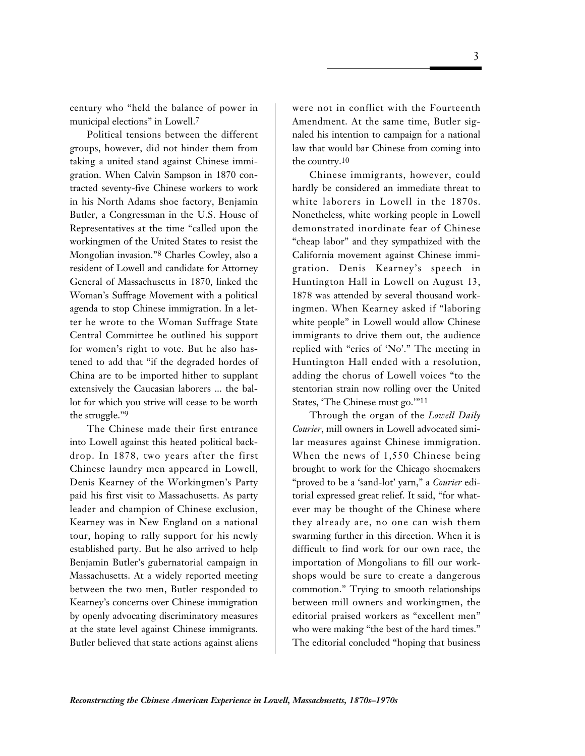century who "held the balance of power in municipal elections" in Lowell.7

Political tensions between the different groups, however, did not hinder them from taking a united stand against Chinese immigration. When Calvin Sampson in 1870 contracted seventy-five Chinese workers to work in his North Adams shoe factory, Benjamin Butler, a Congressman in the U.S. House of Representatives at the time "called upon the workingmen of the United States to resist the Mongolian invasion."8 Charles Cowley, also a resident of Lowell and candidate for Attorney General of Massachusetts in 1870, linked the Woman's Suffrage Movement with a political agenda to stop Chinese immigration. In a letter he wrote to the Woman Suffrage State Central Committee he outlined his support for women's right to vote. But he also hastened to add that "if the degraded hordes of China are to be imported hither to supplant extensively the Caucasian laborers ... the ballot for which you strive will cease to be worth the struggle."9

The Chinese made their first entrance into Lowell against this heated political backdrop. In 1878, two years after the first Chinese laundry men appeared in Lowell, Denis Kearney of the Workingmen's Party paid his first visit to Massachusetts. As party leader and champion of Chinese exclusion, Kearney was in New England on a national tour, hoping to rally support for his newly established party. But he also arrived to help Benjamin Butler's gubernatorial campaign in Massachusetts. At a widely reported meeting between the two men, Butler responded to Kearney's concerns over Chinese immigration by openly advocating discriminatory measures at the state level against Chinese immigrants. Butler believed that state actions against aliens

were not in conflict with the Fourteenth Amendment. At the same time, Butler signaled his intention to campaign for a national law that would bar Chinese from coming into the country.10

Chinese immigrants, however, could hardly be considered an immediate threat to white laborers in Lowell in the 1870s. Nonetheless, white working people in Lowell demonstrated inordinate fear of Chinese "cheap labor" and they sympathized with the California movement against Chinese immigration. Denis Kearney's speech in Huntington Hall in Lowell on August 13, 1878 was attended by several thousand workingmen. When Kearney asked if "laboring white people" in Lowell would allow Chinese immigrants to drive them out, the audience replied with "cries of 'No'." The meeting in Huntington Hall ended with a resolution, adding the chorus of Lowell voices "to the stentorian strain now rolling over the United States, 'The Chinese must go.'"11

Through the organ of the *Lowell Daily Courier*, mill owners in Lowell advocated similar measures against Chinese immigration. When the news of 1,550 Chinese being brought to work for the Chicago shoemakers "proved to be a 'sand-lot' yarn," a *Courier* editorial expressed great relief. It said, "for whatever may be thought of the Chinese where they already are, no one can wish them swarming further in this direction. When it is difficult to find work for our own race, the importation of Mongolians to fill our workshops would be sure to create a dangerous commotion." Trying to smooth relationships between mill owners and workingmen, the editorial praised workers as "excellent men" who were making "the best of the hard times." The editorial concluded "hoping that business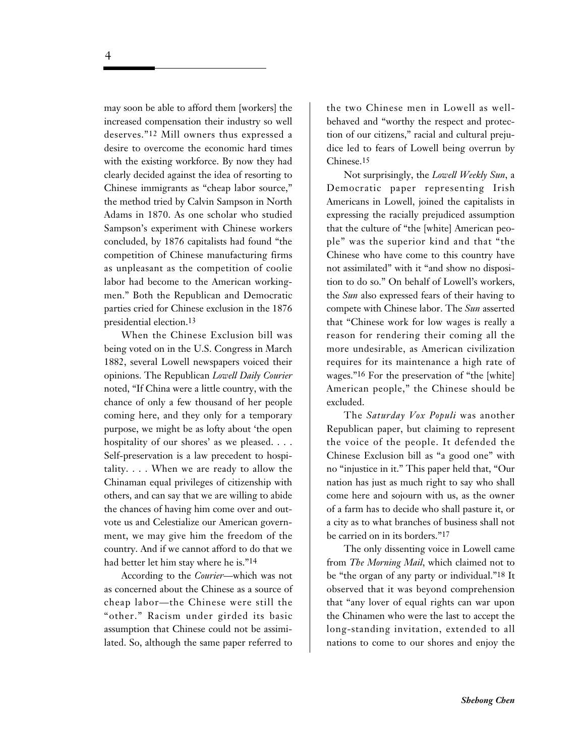may soon be able to afford them [workers] the increased compensation their industry so well deserves."12 Mill owners thus expressed a desire to overcome the economic hard times with the existing workforce. By now they had clearly decided against the idea of resorting to Chinese immigrants as "cheap labor source," the method tried by Calvin Sampson in North Adams in 1870. As one scholar who studied Sampson's experiment with Chinese workers concluded, by 1876 capitalists had found "the competition of Chinese manufacturing firms as unpleasant as the competition of coolie labor had become to the American workingmen." Both the Republican and Democratic parties cried for Chinese exclusion in the 1876 presidential election.13

When the Chinese Exclusion bill was being voted on in the U.S. Congress in March 1882, several Lowell newspapers voiced their opinions. The Republican *Lowell Daily Courier* noted, "If China were a little country, with the chance of only a few thousand of her people coming here, and they only for a temporary purpose, we might be as lofty about 'the open hospitality of our shores' as we pleased. . . . Self-preservation is a law precedent to hospitality. . . . When we are ready to allow the Chinaman equal privileges of citizenship with others, and can say that we are willing to abide the chances of having him come over and outvote us and Celestialize our American government, we may give him the freedom of the country. And if we cannot afford to do that we had better let him stay where he is."14

According to the *Courier—*which was not as concerned about the Chinese as a source of cheap labor—the Chinese were still the "other." Racism under girded its basic assumption that Chinese could not be assimilated. So, although the same paper referred to

the two Chinese men in Lowell as wellbehaved and "worthy the respect and protection of our citizens," racial and cultural prejudice led to fears of Lowell being overrun by Chinese.15

Not surprisingly, the *Lowell Weekly Sun*, a Democratic paper representing Irish Americans in Lowell, joined the capitalists in expressing the racially prejudiced assumption that the culture of "the [white] American people" was the superior kind and that "the Chinese who have come to this country have not assimilated" with it "and show no disposition to do so." On behalf of Lowell's workers, the *Sun* also expressed fears of their having to compete with Chinese labor. The *Sun* asserted that "Chinese work for low wages is really a reason for rendering their coming all the more undesirable, as American civilization requires for its maintenance a high rate of wages."16 For the preservation of "the [white] American people," the Chinese should be excluded.

The *Saturday Vox Populi* was another Republican paper, but claiming to represent the voice of the people. It defended the Chinese Exclusion bill as "a good one" with no "injustice in it." This paper held that, "Our nation has just as much right to say who shall come here and sojourn with us, as the owner of a farm has to decide who shall pasture it, or a city as to what branches of business shall not be carried on in its borders."17

The only dissenting voice in Lowell came from *The Morning Mail*, which claimed not to be "the organ of any party or individual."18 It observed that it was beyond comprehension that "any lover of equal rights can war upon the Chinamen who were the last to accept the long-standing invitation, extended to all nations to come to our shores and enjoy the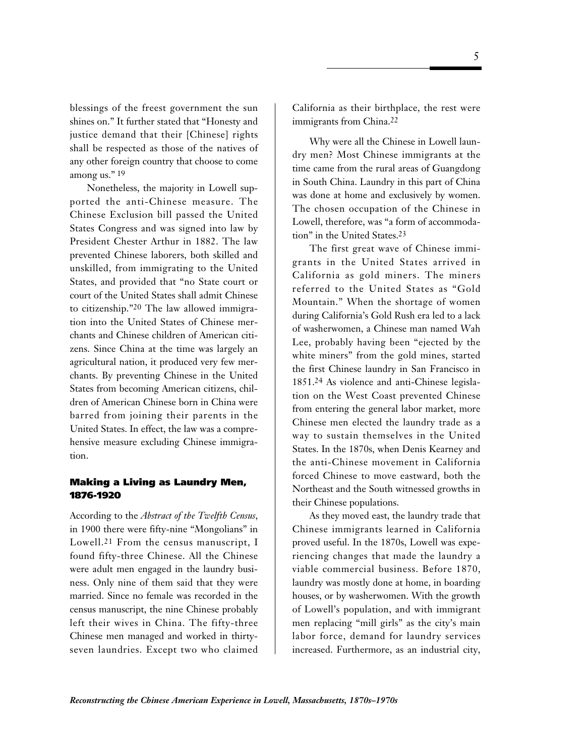blessings of the freest government the sun shines on." It further stated that "Honesty and justice demand that their [Chinese] rights shall be respected as those of the natives of any other foreign country that choose to come among us."<sup>19</sup>

Nonetheless, the majority in Lowell supported the anti-Chinese measure. The Chinese Exclusion bill passed the United States Congress and was signed into law by President Chester Arthur in 1882. The law prevented Chinese laborers, both skilled and unskilled, from immigrating to the United States, and provided that "no State court or court of the United States shall admit Chinese to citizenship."20 The law allowed immigration into the United States of Chinese merchants and Chinese children of American citizens. Since China at the time was largely an agricultural nation, it produced very few merchants. By preventing Chinese in the United States from becoming American citizens, children of American Chinese born in China were barred from joining their parents in the United States. In effect, the law was a comprehensive measure excluding Chinese immigration.

### **Making a Living as Laundry Men, 1876-1920**

According to the *Abstract of the Twelfth Census*, in 1900 there were fifty-nine "Mongolians" in Lowell.21 From the census manuscript, I found fifty-three Chinese. All the Chinese were adult men engaged in the laundry business. Only nine of them said that they were married. Since no female was recorded in the census manuscript, the nine Chinese probably left their wives in China. The fifty-three Chinese men managed and worked in thirtyseven laundries. Except two who claimed

California as their birthplace, the rest were immigrants from China.22

Why were all the Chinese in Lowell laundry men? Most Chinese immigrants at the time came from the rural areas of Guangdong in South China. Laundry in this part of China was done at home and exclusively by women. The chosen occupation of the Chinese in Lowell, therefore, was "a form of accommodation" in the United States.23

The first great wave of Chinese immigrants in the United States arrived in California as gold miners. The miners referred to the United States as "Gold Mountain." When the shortage of women during California's Gold Rush era led to a lack of washerwomen, a Chinese man named Wah Lee, probably having been "ejected by the white miners" from the gold mines, started the first Chinese laundry in San Francisco in 1851.24 As violence and anti-Chinese legislation on the West Coast prevented Chinese from entering the general labor market, more Chinese men elected the laundry trade as a way to sustain themselves in the United States. In the 1870s, when Denis Kearney and the anti-Chinese movement in California forced Chinese to move eastward, both the Northeast and the South witnessed growths in their Chinese populations.

As they moved east, the laundry trade that Chinese immigrants learned in California proved useful. In the 1870s, Lowell was experiencing changes that made the laundry a viable commercial business. Before 1870, laundry was mostly done at home, in boarding houses, or by washerwomen. With the growth of Lowell's population, and with immigrant men replacing "mill girls" as the city's main labor force, demand for laundry services increased. Furthermore, as an industrial city,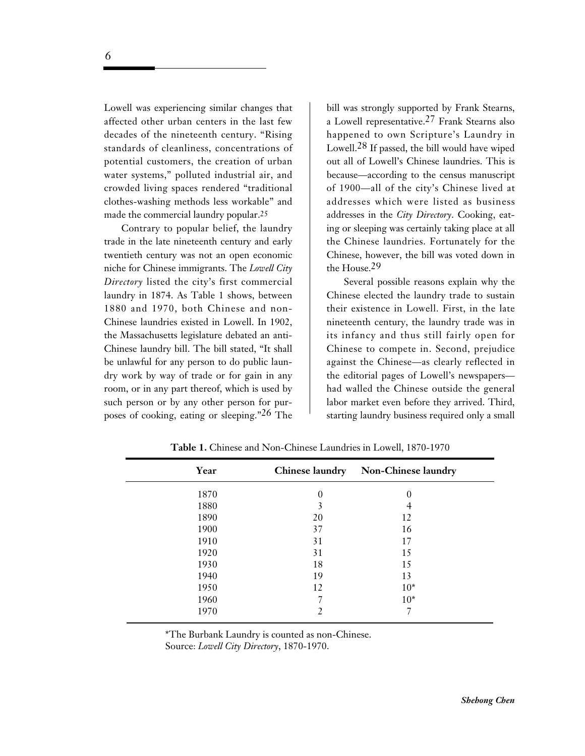Lowell was experiencing similar changes that affected other urban centers in the last few decades of the nineteenth century. "Rising standards of cleanliness, concentrations of potential customers, the creation of urban water systems," polluted industrial air, and crowded living spaces rendered "traditional clothes-washing methods less workable" and made the commercial laundry popular.25

Contrary to popular belief, the laundry trade in the late nineteenth century and early twentieth century was not an open economic niche for Chinese immigrants. The *Lowell City Directory* listed the city's first commercial laundry in 1874. As Table 1 shows, between 1880 and 1970, both Chinese and non-Chinese laundries existed in Lowell. In 1902, the Massachusetts legislature debated an anti-Chinese laundry bill. The bill stated, "It shall be unlawful for any person to do public laundry work by way of trade or for gain in any room, or in any part thereof, which is used by such person or by any other person for purposes of cooking, eating or sleeping."26 The

bill was strongly supported by Frank Stearns, a Lowell representative.27 Frank Stearns also happened to own Scripture's Laundry in Lowell.28 If passed, the bill would have wiped out all of Lowell's Chinese laundries. This is because—according to the census manuscript of 1900—all of the city's Chinese lived at addresses which were listed as business addresses in the *City Directory*. Cooking, eating or sleeping was certainly taking place at all the Chinese laundries. Fortunately for the Chinese, however, the bill was voted down in the House.29

Several possible reasons explain why the Chinese elected the laundry trade to sustain their existence in Lowell. First, in the late nineteenth century, the laundry trade was in its infancy and thus still fairly open for Chinese to compete in. Second, prejudice against the Chinese—as clearly reflected in the editorial pages of Lowell's newspapers had walled the Chinese outside the general labor market even before they arrived. Third, starting laundry business required only a small

| Year |    | Chinese laundry Non-Chinese laundry |
|------|----|-------------------------------------|
| 1870 | 0  | 0                                   |
| 1880 | 3  |                                     |
| 1890 | 20 | 12                                  |
| 1900 | 37 | 16                                  |
| 1910 | 31 | 17                                  |
| 1920 | 31 | 15                                  |
| 1930 | 18 | 15                                  |
| 1940 | 19 | 13                                  |
| 1950 | 12 | $10*$                               |
| 1960 |    | $10*$                               |
| 1970 |    |                                     |

**Table 1.** Chinese and Non-Chinese Laundries in Lowell, 1870-1970

\*The Burbank Laundry is counted as non-Chinese. Source: *Lowell City Directory*, 1870-1970.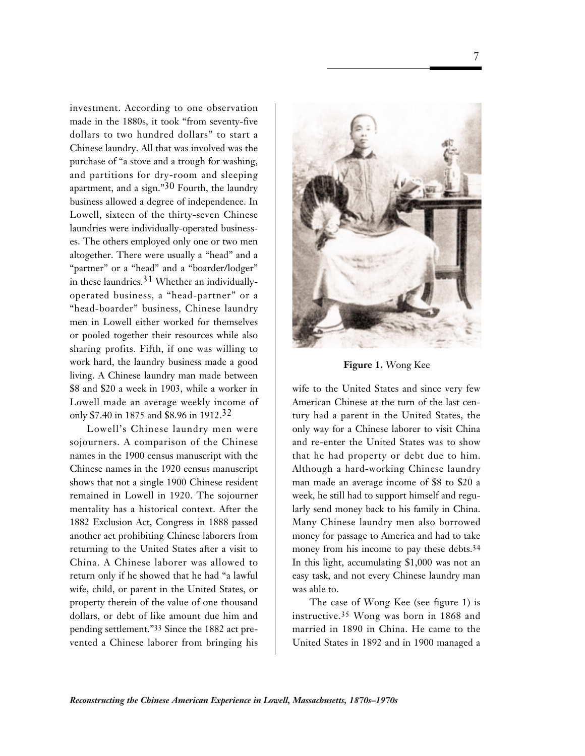investment. According to one observation made in the 1880s, it took "from seventy-five dollars to two hundred dollars" to start a Chinese laundry. All that was involved was the purchase of "a stove and a trough for washing, and partitions for dry-room and sleeping apartment, and a sign." $30$  Fourth, the laundry business allowed a degree of independence. In Lowell, sixteen of the thirty-seven Chinese laundries were individually-operated businesses. The others employed only one or two men altogether. There were usually a "head" and a "partner" or a "head" and a "boarder/lodger" in these laundries.31 Whether an individuallyoperated business, a "head-partner" or a "head-boarder" business, Chinese laundry men in Lowell either worked for themselves or pooled together their resources while also sharing profits. Fifth, if one was willing to work hard, the laundry business made a good living. A Chinese laundry man made between \$8 and \$20 a week in 1903, while a worker in Lowell made an average weekly income of only \$7.40 in 1875 and \$8.96 in 1912.32

Lowell's Chinese laundry men were sojourners. A comparison of the Chinese names in the 1900 census manuscript with the Chinese names in the 1920 census manuscript shows that not a single 1900 Chinese resident remained in Lowell in 1920. The sojourner mentality has a historical context. After the 1882 Exclusion Act, Congress in 1888 passed another act prohibiting Chinese laborers from returning to the United States after a visit to China. A Chinese laborer was allowed to return only if he showed that he had "a lawful wife, child, or parent in the United States, or property therein of the value of one thousand dollars, or debt of like amount due him and pending settlement."33 Since the 1882 act prevented a Chinese laborer from bringing his



**Figure 1.** Wong Kee

wife to the United States and since very few American Chinese at the turn of the last century had a parent in the United States, the only way for a Chinese laborer to visit China and re-enter the United States was to show that he had property or debt due to him. Although a hard-working Chinese laundry man made an average income of \$8 to \$20 a week, he still had to support himself and regularly send money back to his family in China. Many Chinese laundry men also borrowed money for passage to America and had to take money from his income to pay these debts.<sup>34</sup> In this light, accumulating \$1,000 was not an easy task, and not every Chinese laundry man was able to.

The case of Wong Kee (see figure 1) is instructive.35 Wong was born in 1868 and married in 1890 in China. He came to the United States in 1892 and in 1900 managed a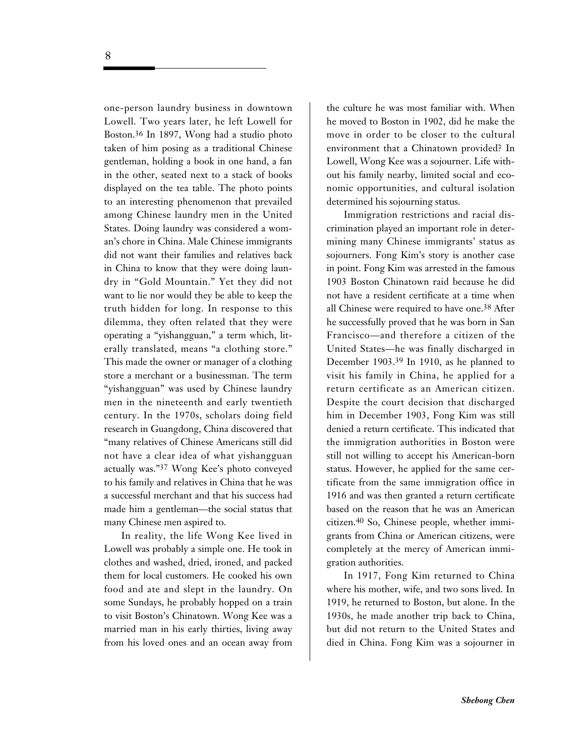one-person laundry business in downtown Lowell. Two years later, he left Lowell for Boston.36 In 1897, Wong had a studio photo taken of him posing as a traditional Chinese gentleman, holding a book in one hand, a fan in the other, seated next to a stack of books displayed on the tea table. The photo points to an interesting phenomenon that prevailed among Chinese laundry men in the United States. Doing laundry was considered a woman's chore in China. Male Chinese immigrants did not want their families and relatives back in China to know that they were doing laundry in "Gold Mountain." Yet they did not want to lie nor would they be able to keep the truth hidden for long. In response to this dilemma, they often related that they were operating a "yishangguan," a term which, literally translated, means "a clothing store." This made the owner or manager of a clothing store a merchant or a businessman. The term "yishangguan" was used by Chinese laundry men in the nineteenth and early twentieth century. In the 1970s, scholars doing field research in Guangdong, China discovered that "many relatives of Chinese Americans still did not have a clear idea of what yishangguan actually was."37 Wong Kee's photo conveyed to his family and relatives in China that he was a successful merchant and that his success had made him a gentleman—the social status that many Chinese men aspired to.

In reality, the life Wong Kee lived in Lowell was probably a simple one. He took in clothes and washed, dried, ironed, and packed them for local customers. He cooked his own food and ate and slept in the laundry. On some Sundays, he probably hopped on a train to visit Boston's Chinatown. Wong Kee was a married man in his early thirties, living away from his loved ones and an ocean away from

the culture he was most familiar with. When he moved to Boston in 1902, did he make the move in order to be closer to the cultural environment that a Chinatown provided? In Lowell, Wong Kee was a sojourner. Life without his family nearby, limited social and economic opportunities, and cultural isolation determined his sojourning status.

Immigration restrictions and racial discrimination played an important role in determining many Chinese immigrants' status as sojourners. Fong Kim's story is another case in point. Fong Kim was arrested in the famous 1903 Boston Chinatown raid because he did not have a resident certificate at a time when all Chinese were required to have one.38 After he successfully proved that he was born in San Francisco—and therefore a citizen of the United States—he was finally discharged in December 1903.39 In 1910, as he planned to visit his family in China, he applied for a return certificate as an American citizen. Despite the court decision that discharged him in December 1903, Fong Kim was still denied a return certificate. This indicated that the immigration authorities in Boston were still not willing to accept his American-born status. However, he applied for the same certificate from the same immigration office in 1916 and was then granted a return certificate based on the reason that he was an American citizen.40 So, Chinese people, whether immigrants from China or American citizens, were completely at the mercy of American immigration authorities.

In 1917, Fong Kim returned to China where his mother, wife, and two sons lived. In 1919, he returned to Boston, but alone. In the 1930s, he made another trip back to China, but did not return to the United States and died in China. Fong Kim was a sojourner in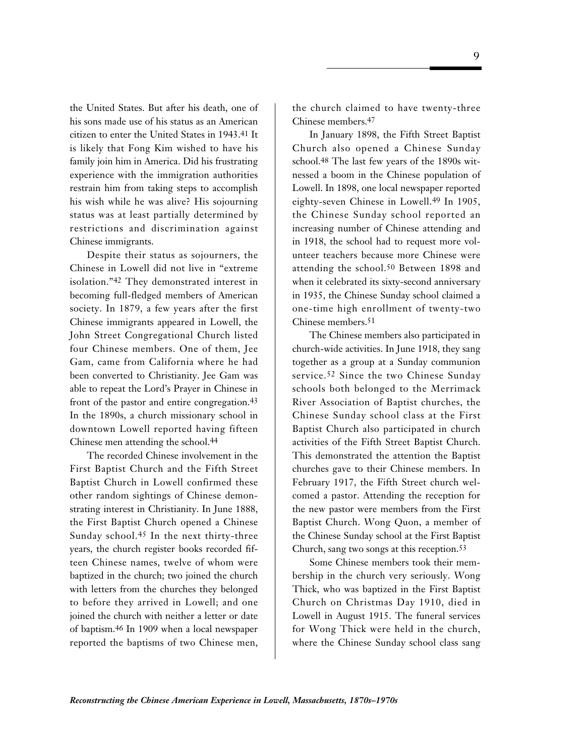the United States. But after his death, one of his sons made use of his status as an American citizen to enter the United States in 1943.41 It is likely that Fong Kim wished to have his family join him in America. Did his frustrating experience with the immigration authorities restrain him from taking steps to accomplish his wish while he was alive? His sojourning status was at least partially determined by restrictions and discrimination against Chinese immigrants.

Despite their status as sojourners, the Chinese in Lowell did not live in "extreme isolation."42 They demonstrated interest in becoming full-fledged members of American society. In 1879, a few years after the first Chinese immigrants appeared in Lowell, the John Street Congregational Church listed four Chinese members. One of them, Jee Gam, came from California where he had been converted to Christianity. Jee Gam was able to repeat the Lord's Prayer in Chinese in front of the pastor and entire congregation.43 In the 1890s, a church missionary school in downtown Lowell reported having fifteen Chinese men attending the school.44

The recorded Chinese involvement in the First Baptist Church and the Fifth Street Baptist Church in Lowell confirmed these other random sightings of Chinese demonstrating interest in Christianity. In June 1888, the First Baptist Church opened a Chinese Sunday school.45 In the next thirty-three years, the church register books recorded fifteen Chinese names, twelve of whom were baptized in the church; two joined the church with letters from the churches they belonged to before they arrived in Lowell; and one joined the church with neither a letter or date of baptism.46 In 1909 when a local newspaper reported the baptisms of two Chinese men,

the church claimed to have twenty-three Chinese members.47

In January 1898, the Fifth Street Baptist Church also opened a Chinese Sunday school.48 The last few years of the 1890s witnessed a boom in the Chinese population of Lowell. In 1898, one local newspaper reported eighty-seven Chinese in Lowell.49 In 1905, the Chinese Sunday school reported an increasing number of Chinese attending and in 1918, the school had to request more volunteer teachers because more Chinese were attending the school.50 Between 1898 and when it celebrated its sixty-second anniversary in 1935, the Chinese Sunday school claimed a one-time high enrollment of twenty-two Chinese members.51

The Chinese members also participated in church-wide activities. In June 1918, they sang together as a group at a Sunday communion service.52 Since the two Chinese Sunday schools both belonged to the Merrimack River Association of Baptist churches, the Chinese Sunday school class at the First Baptist Church also participated in church activities of the Fifth Street Baptist Church. This demonstrated the attention the Baptist churches gave to their Chinese members. In February 1917, the Fifth Street church welcomed a pastor. Attending the reception for the new pastor were members from the First Baptist Church. Wong Quon, a member of the Chinese Sunday school at the First Baptist Church, sang two songs at this reception.53

Some Chinese members took their membership in the church very seriously. Wong Thick, who was baptized in the First Baptist Church on Christmas Day 1910, died in Lowell in August 1915. The funeral services for Wong Thick were held in the church, where the Chinese Sunday school class sang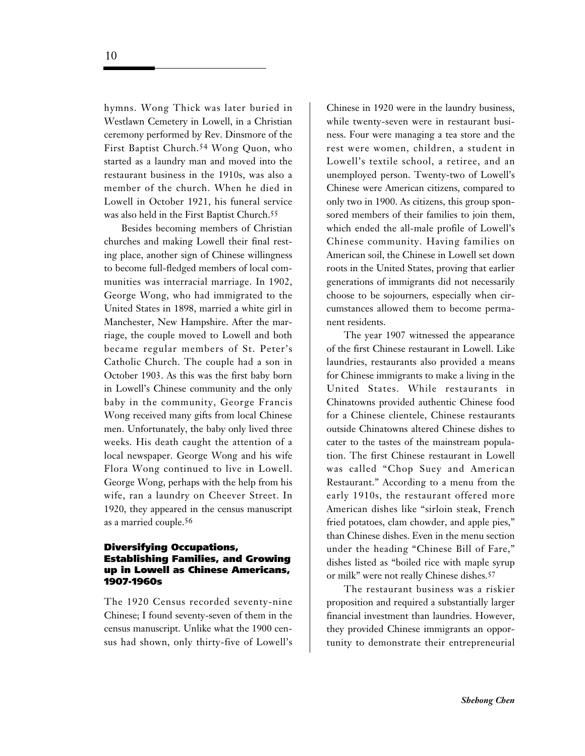hymns. Wong Thick was later buried in Westlawn Cemetery in Lowell, in a Christian ceremony performed by Rev. Dinsmore of the First Baptist Church.54 Wong Quon, who started as a laundry man and moved into the restaurant business in the 1910s, was also a member of the church. When he died in Lowell in October 1921, his funeral service was also held in the First Baptist Church.55

Besides becoming members of Christian churches and making Lowell their final resting place, another sign of Chinese willingness to become full-fledged members of local communities was interracial marriage. In 1902, George Wong, who had immigrated to the United States in 1898, married a white girl in Manchester, New Hampshire. After the marriage, the couple moved to Lowell and both became regular members of St. Peter's Catholic Church. The couple had a son in October 1903. As this was the first baby born in Lowell's Chinese community and the only baby in the community, George Francis Wong received many gifts from local Chinese men. Unfortunately, the baby only lived three weeks. His death caught the attention of a local newspaper. George Wong and his wife Flora Wong continued to live in Lowell. George Wong, perhaps with the help from his wife, ran a laundry on Cheever Street. In 1920, they appeared in the census manuscript as a married couple.56

### **Diversifying Occupations, Establishing Families, and Growing up in Lowell as Chinese Americans, 1907-1960s**

The 1920 Census recorded seventy-nine Chinese; I found seventy-seven of them in the census manuscript. Unlike what the 1900 census had shown, only thirty-five of Lowell's

Chinese in 1920 were in the laundry business, while twenty-seven were in restaurant business. Four were managing a tea store and the rest were women, children, a student in Lowell's textile school, a retiree, and an unemployed person. Twenty-two of Lowell's Chinese were American citizens, compared to only two in 1900. As citizens, this group sponsored members of their families to join them, which ended the all-male profile of Lowell's Chinese community. Having families on American soil, the Chinese in Lowell set down roots in the United States, proving that earlier generations of immigrants did not necessarily choose to be sojourners, especially when circumstances allowed them to become permanent residents.

The year 1907 witnessed the appearance of the first Chinese restaurant in Lowell. Like laundries, restaurants also provided a means for Chinese immigrants to make a living in the United States. While restaurants in Chinatowns provided authentic Chinese food for a Chinese clientele, Chinese restaurants outside Chinatowns altered Chinese dishes to cater to the tastes of the mainstream population. The first Chinese restaurant in Lowell was called "Chop Suey and American Restaurant." According to a menu from the early 1910s, the restaurant offered more American dishes like "sirloin steak, French fried potatoes, clam chowder, and apple pies," than Chinese dishes. Even in the menu section under the heading "Chinese Bill of Fare," dishes listed as "boiled rice with maple syrup or milk" were not really Chinese dishes.57

The restaurant business was a riskier proposition and required a substantially larger financial investment than laundries. However, they provided Chinese immigrants an opportunity to demonstrate their entrepreneurial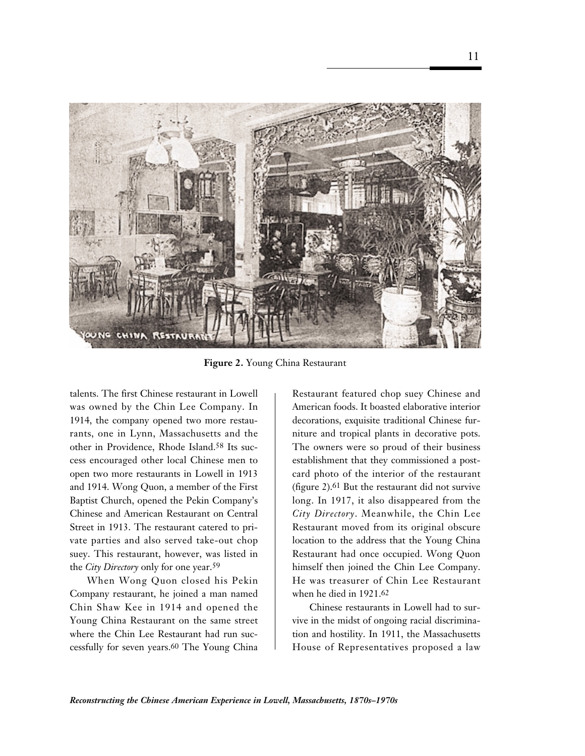

**Figure 2.** Young China Restaurant

talents. The first Chinese restaurant in Lowell was owned by the Chin Lee Company. In 1914, the company opened two more restaurants, one in Lynn, Massachusetts and the other in Providence, Rhode Island.58 Its success encouraged other local Chinese men to open two more restaurants in Lowell in 1913 and 1914. Wong Quon, a member of the First Baptist Church, opened the Pekin Company's Chinese and American Restaurant on Central Street in 1913. The restaurant catered to private parties and also served take-out chop suey. This restaurant, however, was listed in the *City Directory* only for one year.59

When Wong Quon closed his Pekin Company restaurant, he joined a man named Chin Shaw Kee in 1914 and opened the Young China Restaurant on the same street where the Chin Lee Restaurant had run successfully for seven years.60 The Young China

Restaurant featured chop suey Chinese and American foods. It boasted elaborative interior decorations, exquisite traditional Chinese furniture and tropical plants in decorative pots. The owners were so proud of their business establishment that they commissioned a postcard photo of the interior of the restaurant (figure 2).61 But the restaurant did not survive long. In 1917, it also disappeared from the *City Directory*. Meanwhile, the Chin Lee Restaurant moved from its original obscure location to the address that the Young China Restaurant had once occupied. Wong Quon himself then joined the Chin Lee Company. He was treasurer of Chin Lee Restaurant when he died in 1921.62

Chinese restaurants in Lowell had to survive in the midst of ongoing racial discrimination and hostility. In 1911, the Massachusetts House of Representatives proposed a law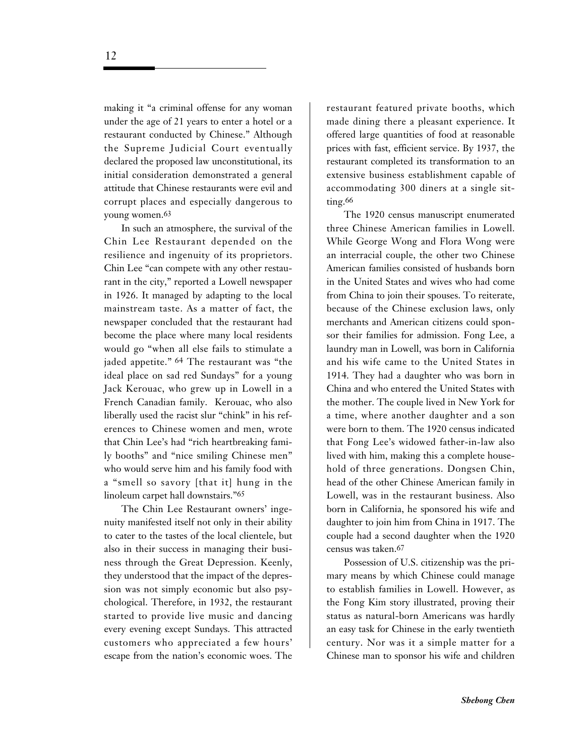making it "a criminal offense for any woman under the age of 21 years to enter a hotel or a restaurant conducted by Chinese." Although the Supreme Judicial Court eventually declared the proposed law unconstitutional, its initial consideration demonstrated a general attitude that Chinese restaurants were evil and corrupt places and especially dangerous to young women.63

In such an atmosphere, the survival of the Chin Lee Restaurant depended on the resilience and ingenuity of its proprietors. Chin Lee "can compete with any other restaurant in the city," reported a Lowell newspaper in 1926. It managed by adapting to the local mainstream taste. As a matter of fact, the newspaper concluded that the restaurant had become the place where many local residents would go "when all else fails to stimulate a jaded appetite." 64 The restaurant was "the ideal place on sad red Sundays" for a young Jack Kerouac, who grew up in Lowell in a French Canadian family. Kerouac, who also liberally used the racist slur "chink" in his references to Chinese women and men, wrote that Chin Lee's had "rich heartbreaking family booths" and "nice smiling Chinese men" who would serve him and his family food with a "smell so savory [that it] hung in the linoleum carpet hall downstairs."65

The Chin Lee Restaurant owners' ingenuity manifested itself not only in their ability to cater to the tastes of the local clientele, but also in their success in managing their business through the Great Depression. Keenly, they understood that the impact of the depression was not simply economic but also psychological. Therefore, in 1932, the restaurant started to provide live music and dancing every evening except Sundays. This attracted customers who appreciated a few hours' escape from the nation's economic woes. The

restaurant featured private booths, which made dining there a pleasant experience. It offered large quantities of food at reasonable prices with fast, efficient service. By 1937, the restaurant completed its transformation to an extensive business establishment capable of accommodating 300 diners at a single sitting.<sup>66</sup>

The 1920 census manuscript enumerated three Chinese American families in Lowell. While George Wong and Flora Wong were an interracial couple, the other two Chinese American families consisted of husbands born in the United States and wives who had come from China to join their spouses. To reiterate, because of the Chinese exclusion laws, only merchants and American citizens could sponsor their families for admission. Fong Lee, a laundry man in Lowell, was born in California and his wife came to the United States in 1914. They had a daughter who was born in China and who entered the United States with the mother. The couple lived in New York for a time, where another daughter and a son were born to them. The 1920 census indicated that Fong Lee's widowed father-in-law also lived with him, making this a complete household of three generations. Dongsen Chin, head of the other Chinese American family in Lowell, was in the restaurant business. Also born in California, he sponsored his wife and daughter to join him from China in 1917. The couple had a second daughter when the 1920 census was taken.67

Possession of U.S. citizenship was the primary means by which Chinese could manage to establish families in Lowell. However, as the Fong Kim story illustrated, proving their status as natural-born Americans was hardly an easy task for Chinese in the early twentieth century. Nor was it a simple matter for a Chinese man to sponsor his wife and children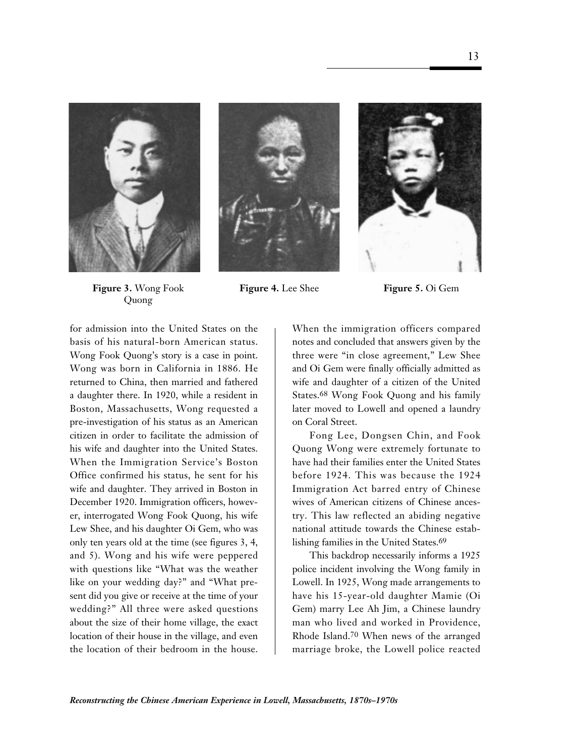





**Figure 3.** Wong Fook **Figure 4.** Lee Shee **Figure 5.** Oi Gem Quong

for admission into the United States on the basis of his natural-born American status. Wong Fook Quong's story is a case in point. Wong was born in California in 1886. He returned to China, then married and fathered a daughter there. In 1920, while a resident in Boston, Massachusetts, Wong requested a pre-investigation of his status as an American citizen in order to facilitate the admission of his wife and daughter into the United States. When the Immigration Service's Boston Office confirmed his status, he sent for his wife and daughter. They arrived in Boston in December 1920. Immigration officers, however, interrogated Wong Fook Quong, his wife Lew Shee, and his daughter Oi Gem, who was only ten years old at the time (see figures 3, 4, and 5). Wong and his wife were peppered with questions like "What was the weather like on your wedding day?" and "What present did you give or receive at the time of your wedding?" All three were asked questions about the size of their home village, the exact location of their house in the village, and even the location of their bedroom in the house.

When the immigration officers compared notes and concluded that answers given by the three were "in close agreement," Lew Shee and Oi Gem were finally officially admitted as wife and daughter of a citizen of the United States.68 Wong Fook Quong and his family later moved to Lowell and opened a laundry on Coral Street.

Fong Lee, Dongsen Chin, and Fook Quong Wong were extremely fortunate to have had their families enter the United States before 1924. This was because the 1924 Immigration Act barred entry of Chinese wives of American citizens of Chinese ancestry. This law reflected an abiding negative national attitude towards the Chinese establishing families in the United States.69

This backdrop necessarily informs a 1925 police incident involving the Wong family in Lowell. In 1925, Wong made arrangements to have his 15-year-old daughter Mamie (Oi Gem) marry Lee Ah Jim, a Chinese laundry man who lived and worked in Providence, Rhode Island.70 When news of the arranged marriage broke, the Lowell police reacted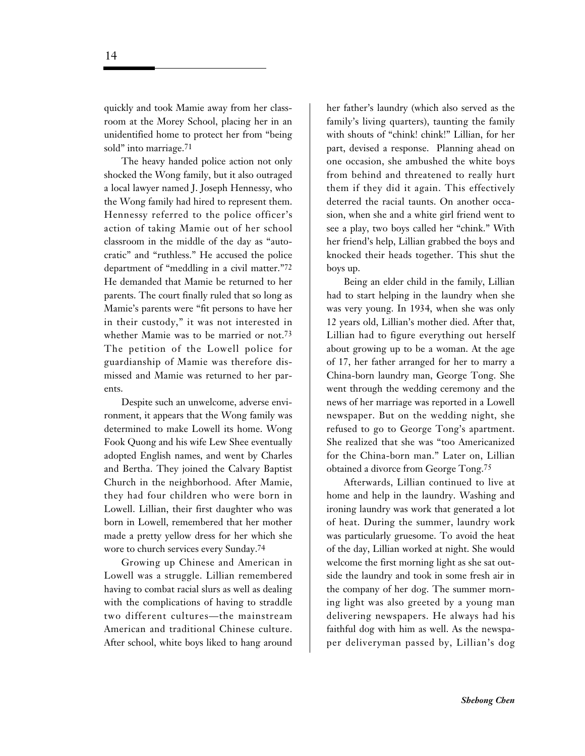quickly and took Mamie away from her classroom at the Morey School, placing her in an unidentified home to protect her from "being sold" into marriage.71

The heavy handed police action not only shocked the Wong family, but it also outraged a local lawyer named J. Joseph Hennessy, who the Wong family had hired to represent them. Hennessy referred to the police officer's action of taking Mamie out of her school classroom in the middle of the day as "autocratic" and "ruthless." He accused the police department of "meddling in a civil matter."72 He demanded that Mamie be returned to her parents. The court finally ruled that so long as Mamie's parents were "fit persons to have her in their custody," it was not interested in whether Mamie was to be married or not.73 The petition of the Lowell police for guardianship of Mamie was therefore dismissed and Mamie was returned to her parents.

Despite such an unwelcome, adverse environment, it appears that the Wong family was determined to make Lowell its home. Wong Fook Quong and his wife Lew Shee eventually adopted English names, and went by Charles and Bertha. They joined the Calvary Baptist Church in the neighborhood. After Mamie, they had four children who were born in Lowell. Lillian, their first daughter who was born in Lowell, remembered that her mother made a pretty yellow dress for her which she wore to church services every Sunday.74

Growing up Chinese and American in Lowell was a struggle. Lillian remembered having to combat racial slurs as well as dealing with the complications of having to straddle two different cultures—the mainstream American and traditional Chinese culture. After school, white boys liked to hang around

her father's laundry (which also served as the family's living quarters), taunting the family with shouts of "chink! chink!" Lillian, for her part, devised a response. Planning ahead on one occasion, she ambushed the white boys from behind and threatened to really hurt them if they did it again. This effectively deterred the racial taunts. On another occasion, when she and a white girl friend went to see a play, two boys called her "chink." With her friend's help, Lillian grabbed the boys and knocked their heads together. This shut the boys up.

Being an elder child in the family, Lillian had to start helping in the laundry when she was very young. In 1934, when she was only 12 years old, Lillian's mother died. After that, Lillian had to figure everything out herself about growing up to be a woman. At the age of 17, her father arranged for her to marry a China-born laundry man, George Tong. She went through the wedding ceremony and the news of her marriage was reported in a Lowell newspaper. But on the wedding night, she refused to go to George Tong's apartment. She realized that she was "too Americanized for the China-born man." Later on, Lillian obtained a divorce from George Tong.75

Afterwards, Lillian continued to live at home and help in the laundry. Washing and ironing laundry was work that generated a lot of heat. During the summer, laundry work was particularly gruesome. To avoid the heat of the day, Lillian worked at night. She would welcome the first morning light as she sat outside the laundry and took in some fresh air in the company of her dog. The summer morning light was also greeted by a young man delivering newspapers. He always had his faithful dog with him as well. As the newspaper deliveryman passed by, Lillian's dog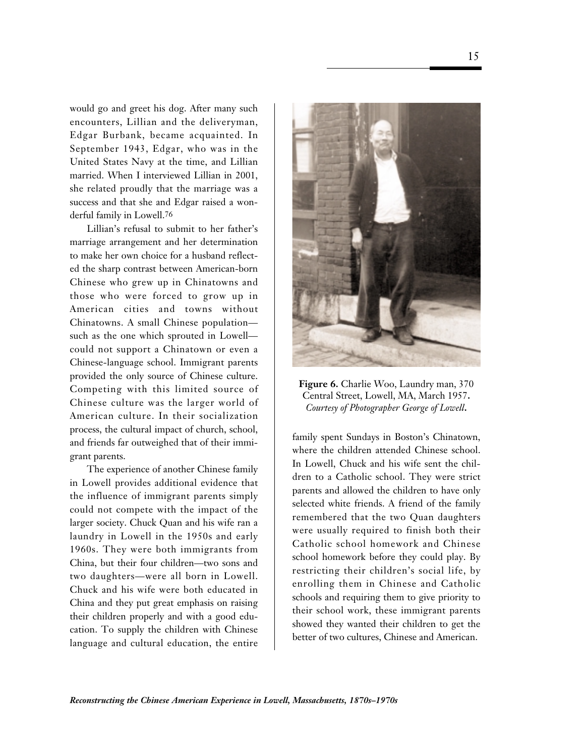would go and greet his dog. After many such encounters, Lillian and the deliveryman, Edgar Burbank, became acquainted. In September 1943, Edgar, who was in the United States Navy at the time, and Lillian married. When I interviewed Lillian in 2001, she related proudly that the marriage was a success and that she and Edgar raised a wonderful family in Lowell.76

Lillian's refusal to submit to her father's marriage arrangement and her determination to make her own choice for a husband reflected the sharp contrast between American-born Chinese who grew up in Chinatowns and those who were forced to grow up in American cities and towns without Chinatowns. A small Chinese population such as the one which sprouted in Lowell could not support a Chinatown or even a Chinese-language school. Immigrant parents provided the only source of Chinese culture. Competing with this limited source of Chinese culture was the larger world of American culture. In their socialization process, the cultural impact of church, school, and friends far outweighed that of their immigrant parents.

The experience of another Chinese family in Lowell provides additional evidence that the influence of immigrant parents simply could not compete with the impact of the larger society. Chuck Quan and his wife ran a laundry in Lowell in the 1950s and early 1960s. They were both immigrants from China, but their four children—two sons and two daughters—were all born in Lowell. Chuck and his wife were both educated in China and they put great emphasis on raising their children properly and with a good education. To supply the children with Chinese language and cultural education, the entire



**Figure 6.** Charlie Woo, Laundry man, 370 Central Street, Lowell, MA, March 1957**.** *Courtesy of Photographer George of Lowell***.**

family spent Sundays in Boston's Chinatown, where the children attended Chinese school. In Lowell, Chuck and his wife sent the children to a Catholic school. They were strict parents and allowed the children to have only selected white friends. A friend of the family remembered that the two Quan daughters were usually required to finish both their Catholic school homework and Chinese school homework before they could play. By restricting their children's social life, by enrolling them in Chinese and Catholic schools and requiring them to give priority to their school work, these immigrant parents showed they wanted their children to get the better of two cultures, Chinese and American.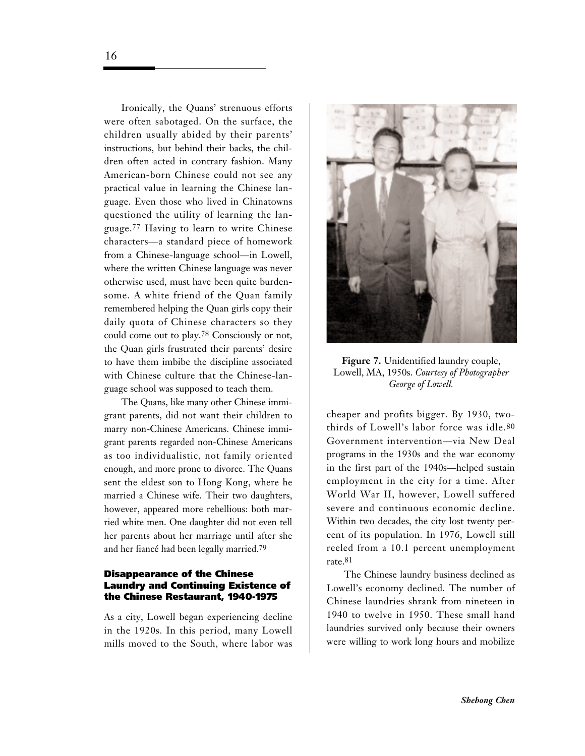Ironically, the Quans' strenuous efforts were often sabotaged. On the surface, the children usually abided by their parents' instructions, but behind their backs, the children often acted in contrary fashion. Many American-born Chinese could not see any practical value in learning the Chinese language. Even those who lived in Chinatowns questioned the utility of learning the language.77 Having to learn to write Chinese characters—a standard piece of homework from a Chinese-language school—in Lowell, where the written Chinese language was never otherwise used, must have been quite burdensome. A white friend of the Quan family remembered helping the Quan girls copy their daily quota of Chinese characters so they could come out to play.78 Consciously or not, the Quan girls frustrated their parents' desire to have them imbibe the discipline associated with Chinese culture that the Chinese-language school was supposed to teach them.

The Quans, like many other Chinese immigrant parents, did not want their children to marry non-Chinese Americans. Chinese immigrant parents regarded non-Chinese Americans as too individualistic, not family oriented enough, and more prone to divorce. The Quans sent the eldest son to Hong Kong, where he married a Chinese wife. Their two daughters, however, appeared more rebellious: both married white men. One daughter did not even tell her parents about her marriage until after she and her fiancé had been legally married.79

### **Disappearance of the Chinese Laundry and Continuing Existence of the Chinese Restaurant, 1940-1975**

As a city, Lowell began experiencing decline in the 1920s. In this period, many Lowell mills moved to the South, where labor was



**Figure 7.** Unidentified laundry couple, Lowell, MA, 1950s. *Courtesy of Photographer George of Lowell.*

cheaper and profits bigger. By 1930, twothirds of Lowell's labor force was idle.80 Government intervention—via New Deal programs in the 1930s and the war economy in the first part of the 1940s—helped sustain employment in the city for a time. After World War II, however, Lowell suffered severe and continuous economic decline. Within two decades, the city lost twenty percent of its population. In 1976, Lowell still reeled from a 10.1 percent unemployment rate.81

The Chinese laundry business declined as Lowell's economy declined. The number of Chinese laundries shrank from nineteen in 1940 to twelve in 1950. These small hand laundries survived only because their owners were willing to work long hours and mobilize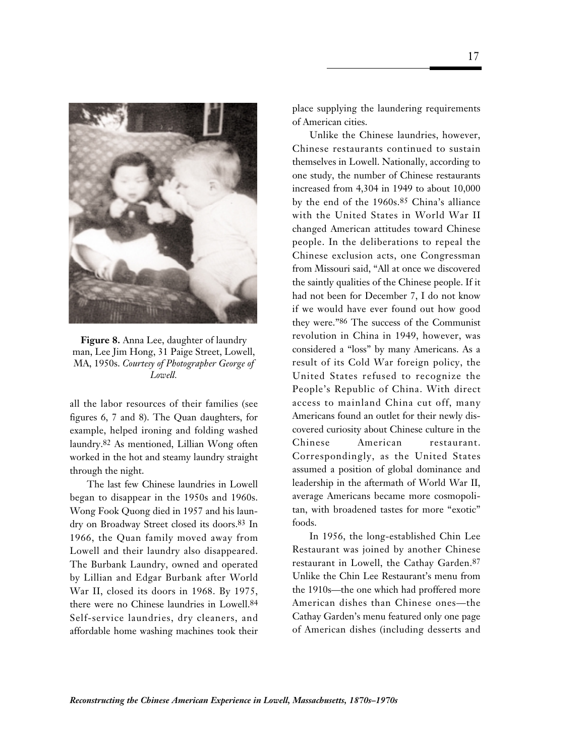

**Figure 8.** Anna Lee, daughter of laundry man, Lee Jim Hong, 31 Paige Street, Lowell, MA, 1950s. *Courtesy of Photographer George of Lowell.*

all the labor resources of their families (see figures 6, 7 and 8). The Quan daughters, for example, helped ironing and folding washed laundry.82 As mentioned, Lillian Wong often worked in the hot and steamy laundry straight through the night.

The last few Chinese laundries in Lowell began to disappear in the 1950s and 1960s. Wong Fook Quong died in 1957 and his laundry on Broadway Street closed its doors.83 In 1966, the Quan family moved away from Lowell and their laundry also disappeared. The Burbank Laundry, owned and operated by Lillian and Edgar Burbank after World War II, closed its doors in 1968. By 1975, there were no Chinese laundries in Lowell.84 Self-service laundries, dry cleaners, and affordable home washing machines took their place supplying the laundering requirements of American cities.

Unlike the Chinese laundries, however, Chinese restaurants continued to sustain themselves in Lowell. Nationally, according to one study, the number of Chinese restaurants increased from 4,304 in 1949 to about 10,000 by the end of the 1960s.85 China's alliance with the United States in World War II changed American attitudes toward Chinese people. In the deliberations to repeal the Chinese exclusion acts, one Congressman from Missouri said, "All at once we discovered the saintly qualities of the Chinese people. If it had not been for December 7, I do not know if we would have ever found out how good they were."86 The success of the Communist revolution in China in 1949, however, was considered a "loss" by many Americans. As a result of its Cold War foreign policy, the United States refused to recognize the People's Republic of China. With direct access to mainland China cut off, many Americans found an outlet for their newly discovered curiosity about Chinese culture in the Chinese American restaurant. Correspondingly, as the United States assumed a position of global dominance and leadership in the aftermath of World War II, average Americans became more cosmopolitan, with broadened tastes for more "exotic" foods.

In 1956, the long-established Chin Lee Restaurant was joined by another Chinese restaurant in Lowell, the Cathay Garden.87 Unlike the Chin Lee Restaurant's menu from the 1910s—the one which had proffered more American dishes than Chinese ones—the Cathay Garden's menu featured only one page of American dishes (including desserts and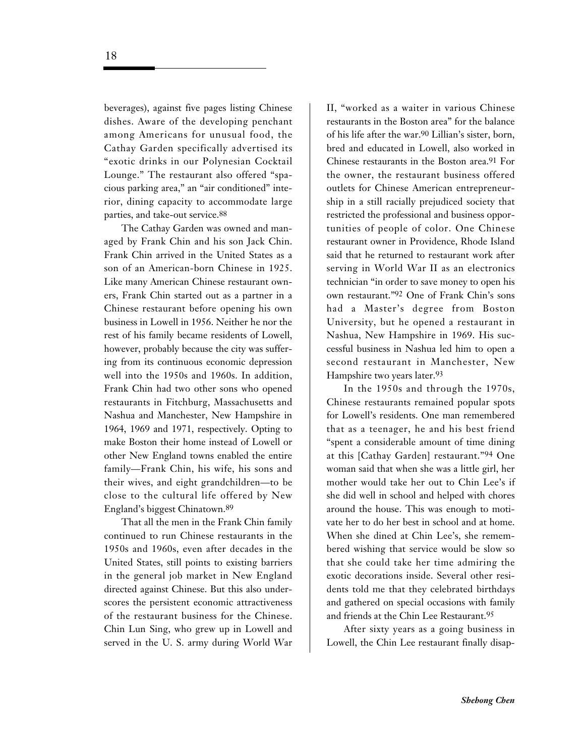beverages), against five pages listing Chinese dishes. Aware of the developing penchant among Americans for unusual food, the Cathay Garden specifically advertised its "exotic drinks in our Polynesian Cocktail Lounge." The restaurant also offered "spacious parking area," an "air conditioned" interior, dining capacity to accommodate large parties, and take-out service.88

The Cathay Garden was owned and managed by Frank Chin and his son Jack Chin. Frank Chin arrived in the United States as a son of an American-born Chinese in 1925. Like many American Chinese restaurant owners, Frank Chin started out as a partner in a Chinese restaurant before opening his own business in Lowell in 1956. Neither he nor the rest of his family became residents of Lowell, however, probably because the city was suffering from its continuous economic depression well into the 1950s and 1960s. In addition, Frank Chin had two other sons who opened restaurants in Fitchburg, Massachusetts and Nashua and Manchester, New Hampshire in 1964, 1969 and 1971, respectively. Opting to make Boston their home instead of Lowell or other New England towns enabled the entire family—Frank Chin, his wife, his sons and their wives, and eight grandchildren—to be close to the cultural life offered by New England's biggest Chinatown.89

That all the men in the Frank Chin family continued to run Chinese restaurants in the 1950s and 1960s, even after decades in the United States, still points to existing barriers in the general job market in New England directed against Chinese. But this also underscores the persistent economic attractiveness of the restaurant business for the Chinese. Chin Lun Sing, who grew up in Lowell and served in the U. S. army during World War II, "worked as a waiter in various Chinese restaurants in the Boston area" for the balance of his life after the war.90 Lillian's sister, born, bred and educated in Lowell, also worked in Chinese restaurants in the Boston area.91 For the owner, the restaurant business offered outlets for Chinese American entrepreneurship in a still racially prejudiced society that restricted the professional and business opportunities of people of color. One Chinese restaurant owner in Providence, Rhode Island said that he returned to restaurant work after serving in World War II as an electronics technician "in order to save money to open his own restaurant."92 One of Frank Chin's sons had a Master's degree from Boston University, but he opened a restaurant in Nashua, New Hampshire in 1969. His successful business in Nashua led him to open a second restaurant in Manchester, New Hampshire two years later.93

In the 1950s and through the 1970s, Chinese restaurants remained popular spots for Lowell's residents. One man remembered that as a teenager, he and his best friend "spent a considerable amount of time dining at this [Cathay Garden] restaurant."94 One woman said that when she was a little girl, her mother would take her out to Chin Lee's if she did well in school and helped with chores around the house. This was enough to motivate her to do her best in school and at home. When she dined at Chin Lee's, she remembered wishing that service would be slow so that she could take her time admiring the exotic decorations inside. Several other residents told me that they celebrated birthdays and gathered on special occasions with family and friends at the Chin Lee Restaurant.95

After sixty years as a going business in Lowell, the Chin Lee restaurant finally disap-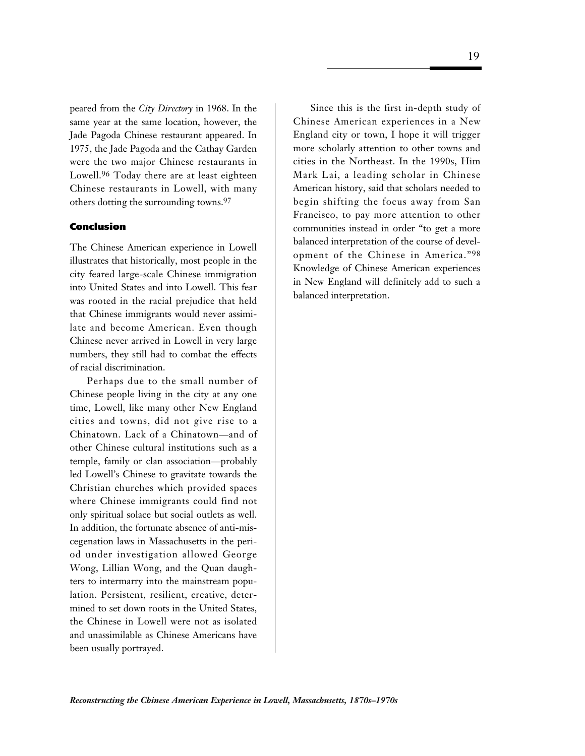peared from the *City Directory* in 1968. In the same year at the same location, however, the Jade Pagoda Chinese restaurant appeared. In 1975, the Jade Pagoda and the Cathay Garden were the two major Chinese restaurants in Lowell.96 Today there are at least eighteen Chinese restaurants in Lowell, with many others dotting the surrounding towns.97

### **Conclusion**

The Chinese American experience in Lowell illustrates that historically, most people in the city feared large-scale Chinese immigration into United States and into Lowell. This fear was rooted in the racial prejudice that held that Chinese immigrants would never assimilate and become American. Even though Chinese never arrived in Lowell in very large numbers, they still had to combat the effects of racial discrimination.

Perhaps due to the small number of Chinese people living in the city at any one time, Lowell, like many other New England cities and towns, did not give rise to a Chinatown. Lack of a Chinatown—and of other Chinese cultural institutions such as a temple, family or clan association—probably led Lowell's Chinese to gravitate towards the Christian churches which provided spaces where Chinese immigrants could find not only spiritual solace but social outlets as well. In addition, the fortunate absence of anti-miscegenation laws in Massachusetts in the period under investigation allowed George Wong, Lillian Wong, and the Quan daughters to intermarry into the mainstream population. Persistent, resilient, creative, determined to set down roots in the United States, the Chinese in Lowell were not as isolated and unassimilable as Chinese Americans have been usually portrayed.

Since this is the first in-depth study of Chinese American experiences in a New England city or town, I hope it will trigger more scholarly attention to other towns and cities in the Northeast. In the 1990s, Him Mark Lai, a leading scholar in Chinese American history, said that scholars needed to begin shifting the focus away from San Francisco, to pay more attention to other communities instead in order "to get a more balanced interpretation of the course of development of the Chinese in America."98 Knowledge of Chinese American experiences in New England will definitely add to such a balanced interpretation.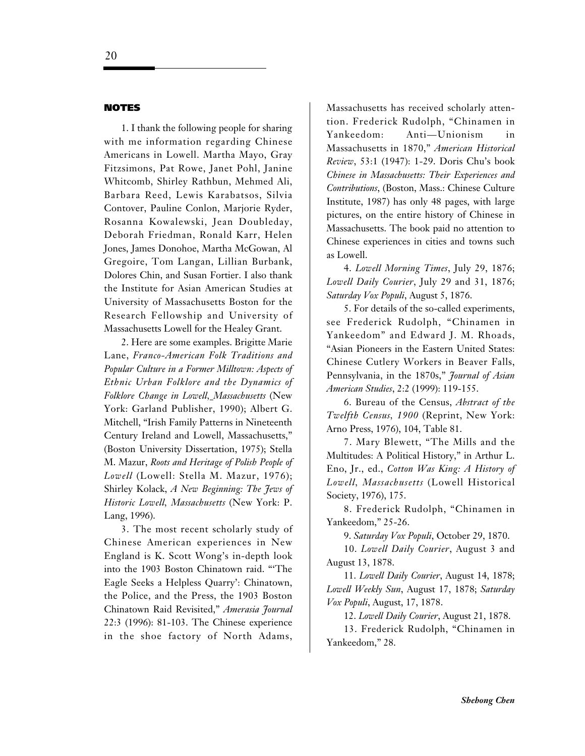### **NOTES**

1.I thank the following people for sharing with me information regarding Chinese Americans in Lowell. Martha Mayo, Gray Fitzsimons, Pat Rowe, Janet Pohl, Janine Whitcomb, Shirley Rathbun, Mehmed Ali, Barbara Reed, Lewis Karabatsos, Silvia Contover, Pauline Conlon, Marjorie Ryder, Rosanna Kowalewski, Jean Doubleday, Deborah Friedman, Ronald Karr, Helen Jones, James Donohoe, Martha McGowan, Al Gregoire, Tom Langan, Lillian Burbank, Dolores Chin, and Susan Fortier. I also thank the Institute for Asian American Studies at University of Massachusetts Boston for the Research Fellowship and University of Massachusetts Lowell for the Healey Grant.

2.Here are some examples. Brigitte Marie Lane, *Franco-American Folk Traditions and Popular Culture in a Former Milltown: Aspects of Ethnic Urban Folklore and the Dynamics of Folklore Change in Lowell, Massachusetts* (New York: Garland Publisher, 1990); Albert G. Mitchell, "Irish Family Patterns in Nineteenth Century Ireland and Lowell, Massachusetts," (Boston University Dissertation, 1975); Stella M. Mazur, *Roots and Heritage of Polish People of Lowell* (Lowell: Stella M. Mazur, 1976); Shirley Kolack, *A New Beginning: The Jews of Historic Lowell, Massachusetts* (New York: P. Lang, 1996).

3.The most recent scholarly study of Chinese American experiences in New England is K. Scott Wong's in-depth look into the 1903 Boston Chinatown raid. "'The Eagle Seeks a Helpless Quarry': Chinatown, the Police, and the Press, the 1903 Boston Chinatown Raid Revisited," *Amerasia Journal* 22:3 (1996): 81-103. The Chinese experience in the shoe factory of North Adams,

Massachusetts has received scholarly attention. Frederick Rudolph, "Chinamen in Yankeedom: Anti—Unionism in Massachusetts in 1870," *American Historical Review*, 53:1 (1947): 1-29. Doris Chu's book *Chinese in Massachusetts: Their Experiences and Contributions*, (Boston, Mass.: Chinese Culture Institute, 1987) has only 48 pages, with large pictures, on the entire history of Chinese in Massachusetts. The book paid no attention to Chinese experiences in cities and towns such as Lowell.

4. *Lowell Morning Times*, July 29, 1876; *Lowell Daily Courier*, July 29 and 31, 1876; *Saturday Vox Populi*, August 5, 1876.

5.For details of the so-called experiments, see Frederick Rudolph, "Chinamen in Yankeedom" and Edward J. M. Rhoads, "Asian Pioneers in the Eastern United States: Chinese Cutlery Workers in Beaver Falls, Pennsylvania, in the 1870s," *Journal of Asian American Studies*, 2:2 (1999): 119-155.

6.Bureau of the Census, *Abstract of the Twelfth Census, 1900* (Reprint, New York: Arno Press, 1976), 104, Table 81.

7.Mary Blewett, "The Mills and the Multitudes: A Political History," in Arthur L. Eno, Jr., ed., *Cotton Was King: A History of Lowell, Massachusetts* (Lowell Historical Society, 1976), 175.

8.Frederick Rudolph, "Chinamen in Yankeedom," 25-26.

9. *Saturday Vox Populi*, October 29, 1870.

10. *Lowell Daily Courier*, August 3 and August 13, 1878.

11. *Lowell Daily Courier*, August 14, 1878; *Lowell Weekly Sun*, August 17, 1878; *Saturday Vox Populi*, August, 17, 1878.

12. *Lowell Daily Courier*, August 21, 1878.

13.Frederick Rudolph, "Chinamen in Yankeedom," 28.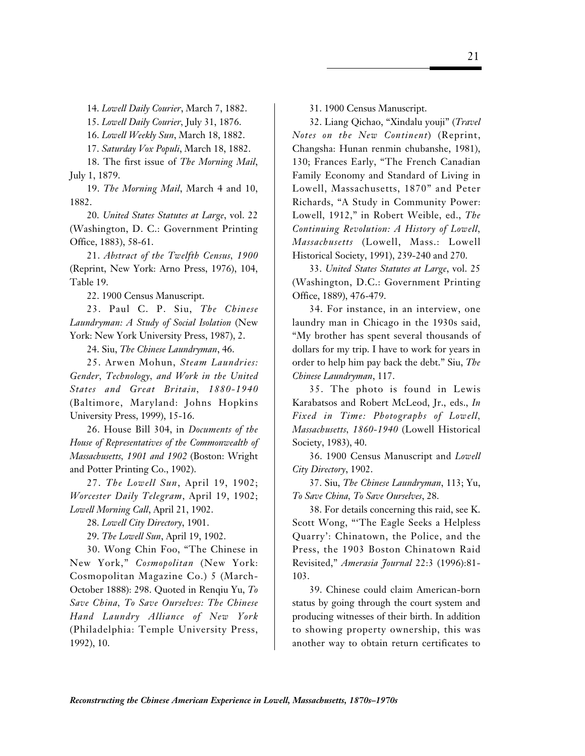14. *Lowell Daily Courier*, March 7, 1882.

15. *Lowell Daily Courier,* July 31, 1876.

16. *Lowell Weekly Sun*, March 18, 1882.

17. *Saturday Vox Populi*, March 18, 1882.

18.The first issue of *The Morning Mail*, July 1, 1879.

19. *The Morning Mail*, March 4 and 10, 1882.

20. *United States Statutes at Large*, vol. 22 (Washington, D. C.: Government Printing Office, 1883), 58-61.

21. *Abstract of the Twelfth Census, 1900* (Reprint, New York: Arno Press, 1976), 104, Table 19.

22.1900 Census Manuscript.

23. Paul C. P. Siu, *The Chinese Laundryman: A Study of Social Isolation* (New York: New York University Press, 1987), 2.

24.Siu, *The Chinese Laundryman*, 46.

25.Arwen Mohun, *Steam Laundries: Gender, Technology, and Work in the United States and Great Britain, 1880-1940* (Baltimore, Maryland: Johns Hopkins University Press, 1999), 15-16.

26.House Bill 304, in *Documents of the House of Representatives of the Commonwealth of Massachusetts, 1901 and 1902* (Boston: Wright and Potter Printing Co., 1902).

27. *The Lowell Sun*, April 19, 1902; *Worcester Daily Telegram*, April 19, 1902; *Lowell Morning Call*, April 21, 1902.

28. *Lowell City Directory*, 1901.

29. *The Lowell Sun*, April 19, 1902.

30. Wong Chin Foo, "The Chinese in New York," *Cosmopolitan* (New York: Cosmopolitan Magazine Co.) 5 (March-October 1888): 298. Quoted in Renqiu Yu, *To Save China, To Save Ourselves: The Chinese Hand Laundry Alliance of New York* (Philadelphia: Temple University Press, 1992), 10.

31.1900 Census Manuscript.

32. Liang Qichao, "Xindalu youji" (*Travel Notes on the New Continent*) (Reprint, Changsha: Hunan renmin chubanshe, 1981), 130; Frances Early, "The French Canadian Family Economy and Standard of Living in Lowell, Massachusetts, 1870" and Peter Richards, "A Study in Community Power: Lowell, 1912," in Robert Weible, ed., *The Continuing Revolution: A History of Lowell, Massachusetts* (Lowell, Mass.: Lowell Historical Society, 1991), 239-240 and 270.

33. *United States Statutes at Large*, vol. 25 (Washington, D.C.: Government Printing Office, 1889), 476-479.

34.For instance, in an interview, one laundry man in Chicago in the 1930s said, "My brother has spent several thousands of dollars for my trip. I have to work for years in order to help him pay back the debt." Siu, *The Chinese Laundryman*, 117.

35.The photo is found in Lewis Karabatsos and Robert McLeod, Jr., eds., *In Fixed in Time: Photographs of Lowell, Massachusetts, 1860-1940* (Lowell Historical Society, 1983), 40.

36.1900 Census Manuscript and *Lowell City Directory*, 1902.

37.Siu, *The Chinese Laundryman*, 113; Yu, *To Save China, To Save Ourselves*, 28.

38.For details concerning this raid, see K. Scott Wong, "'The Eagle Seeks a Helpless Quarry': Chinatown, the Police, and the Press, the 1903 Boston Chinatown Raid Revisited," *Amerasia Journal* 22:3 (1996):81- 103.

39.Chinese could claim American-born status by going through the court system and producing witnesses of their birth. In addition to showing property ownership, this was another way to obtain return certificates to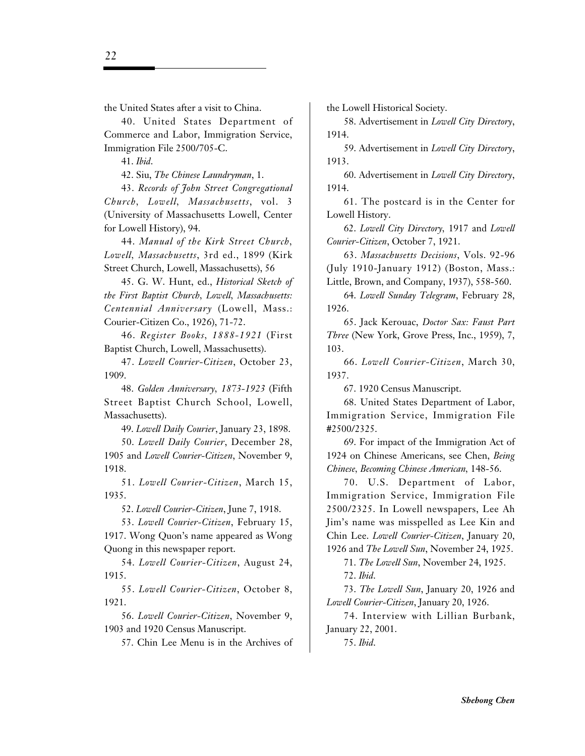40.United States Department of Commerce and Labor, Immigration Service, Immigration File 2500/705-C.

41. *Ibid*.

42.Siu, *The Chinese Laundryman*, 1.

43. *Records of John Street Congregational Church, Lowell, Massachusetts*, vol. 3 (University of Massachusetts Lowell, Center for Lowell History), 94.

44. *Manual of the Kirk Street Church, Lowell, Massachusetts*, 3rd ed., 1899 (Kirk Street Church, Lowell, Massachusetts), 56

45. G. W. Hunt, ed., *Historical Sketch of the First Baptist Church, Lowell, Massachusetts: Centennial Anniversary* (Lowell, Mass.: Courier-Citizen Co., 1926), 71-72.

46. *Register Books, 1888-1921* (First Baptist Church, Lowell, Massachusetts).

47. *Lowell Courier-Citizen*, October 23, 1909.

48. *Golden Anniversary, 1873-1923* (Fifth Street Baptist Church School, Lowell, Massachusetts).

49. *Lowell Daily Courier*, January 23, 1898.

50. *Lowell Daily Courier*, December 28, 1905 and *Lowell Courier-Citizen*, November 9, 1918.

51. *Lowell Courier-Citizen*, March 15, 1935.

52. *Lowell Courier-Citizen*, June 7, 1918.

53. *Lowell Courier-Citizen*, February 15, 1917. Wong Quon's name appeared as Wong Quong in this newspaper report.

54. *Lowell Courier-Citizen*, August 24, 1915.

55. *Lowell Courier-Citizen*, October 8, 1921.

56. *Lowell Courier-Citizen*, November 9, 1903 and 1920 Census Manuscript.

57.Chin Lee Menu is in the Archives of

the Lowell Historical Society.

58.Advertisement in *Lowell City Directory*, 1914.

59.Advertisement in *Lowell City Directory*, 1913.

60.Advertisement in *Lowell City Directory*, 1914.

61.The postcard is in the Center for Lowell History.

62. *Lowell City Directory,* 1917 and *Lowell Courier-Citizen*, October 7, 1921.

63. *Massachusetts Decisions*, Vols. 92-96 (July 1910-January 1912) (Boston, Mass.: Little, Brown, and Company, 1937), 558-560.

64. *Lowell Sunday Telegram*, February 28, 1926.

65.Jack Kerouac, *Doctor Sax: Faust Part Three* (New York, Grove Press, Inc., 1959), 7, 103.

66. *Lowell Courier-Citizen*, March 30, 1937.

67.1920 Census Manuscript.

68.United States Department of Labor, Immigration Service, Immigration File #2500/2325.

69.For impact of the Immigration Act of 1924 on Chinese Americans, see Chen, *Being Chinese, Becoming Chinese American,* 148-56.

70. U.S. Department of Labor, Immigration Service, Immigration File 2500/2325. In Lowell newspapers, Lee Ah Jim's name was misspelled as Lee Kin and Chin Lee. *Lowell Courier-Citizen*, January 20, 1926 and *The Lowell Sun*, November 24, 1925.

71. *The Lowell Sun*, November 24, 1925.

72. *Ibid*.

73. *The Lowell Sun*, January 20, 1926 and *Lowell Courier-Citizen*, January 20, 1926.

74.Interview with Lillian Burbank, January 22, 2001.

75. *Ibid*.

22